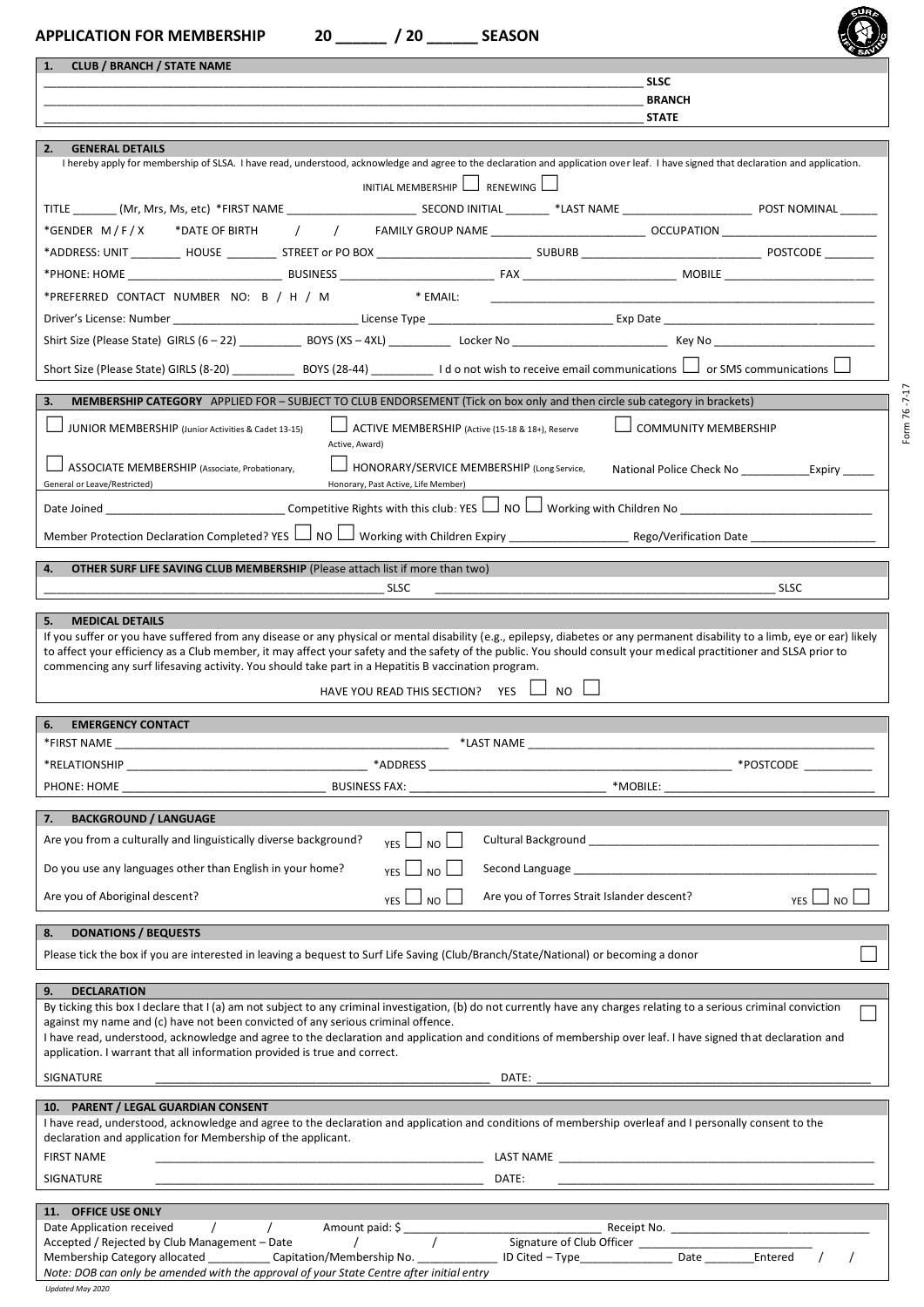| <b>CLUB / BRANCH / STATE NAME</b><br>1.                                                                                                                                                                                                                                                                                                                                            |                                                                                   |                                            |                                                                                                                                                                                                                                |               |
|------------------------------------------------------------------------------------------------------------------------------------------------------------------------------------------------------------------------------------------------------------------------------------------------------------------------------------------------------------------------------------|-----------------------------------------------------------------------------------|--------------------------------------------|--------------------------------------------------------------------------------------------------------------------------------------------------------------------------------------------------------------------------------|---------------|
|                                                                                                                                                                                                                                                                                                                                                                                    |                                                                                   |                                            | <b>SLSC</b><br><b>BRANCH</b>                                                                                                                                                                                                   |               |
|                                                                                                                                                                                                                                                                                                                                                                                    |                                                                                   |                                            | <b>STATE</b>                                                                                                                                                                                                                   |               |
| 2.<br><b>GENERAL DETAILS</b>                                                                                                                                                                                                                                                                                                                                                       |                                                                                   |                                            |                                                                                                                                                                                                                                |               |
| I hereby apply for membership of SLSA. I have read, understood, acknowledge and agree to the declaration and application over leaf. I have signed that declaration and application.                                                                                                                                                                                                |                                                                                   |                                            |                                                                                                                                                                                                                                |               |
|                                                                                                                                                                                                                                                                                                                                                                                    | INITIAL MEMBERSHIP $\Box$ RENEWING $\Box$                                         |                                            |                                                                                                                                                                                                                                |               |
|                                                                                                                                                                                                                                                                                                                                                                                    |                                                                                   |                                            |                                                                                                                                                                                                                                |               |
|                                                                                                                                                                                                                                                                                                                                                                                    |                                                                                   |                                            |                                                                                                                                                                                                                                |               |
|                                                                                                                                                                                                                                                                                                                                                                                    |                                                                                   |                                            |                                                                                                                                                                                                                                |               |
|                                                                                                                                                                                                                                                                                                                                                                                    |                                                                                   |                                            |                                                                                                                                                                                                                                |               |
| *PREFERRED CONTACT NUMBER NO: B / H / M                                                                                                                                                                                                                                                                                                                                            |                                                                                   |                                            |                                                                                                                                                                                                                                |               |
|                                                                                                                                                                                                                                                                                                                                                                                    |                                                                                   |                                            |                                                                                                                                                                                                                                |               |
|                                                                                                                                                                                                                                                                                                                                                                                    |                                                                                   |                                            |                                                                                                                                                                                                                                |               |
|                                                                                                                                                                                                                                                                                                                                                                                    |                                                                                   |                                            |                                                                                                                                                                                                                                |               |
| 3.<br><b>MEMBERSHIP CATEGORY</b> APPLIED FOR – SUBJECT TO CLUB ENDORSEMENT (Tick on box only and then circle sub category in brackets)                                                                                                                                                                                                                                             |                                                                                   |                                            |                                                                                                                                                                                                                                |               |
| JUNIOR MEMBERSHIP (Junior Activities & Cadet 13-15)                                                                                                                                                                                                                                                                                                                                | ACTIVE MEMBERSHIP (Active (15-18 & 18+), Reserve                                  |                                            | <b>COMMUNITY MEMBERSHIP</b>                                                                                                                                                                                                    |               |
| Active, Award)                                                                                                                                                                                                                                                                                                                                                                     |                                                                                   |                                            |                                                                                                                                                                                                                                |               |
| ASSOCIATE MEMBERSHIP (Associate, Probationary,<br>General or Leave/Restricted)                                                                                                                                                                                                                                                                                                     | HONORARY/SERVICE MEMBERSHIP (Long Service,<br>Honorary, Past Active, Life Member) |                                            | National Police Check No ________________Expiry ______                                                                                                                                                                         |               |
|                                                                                                                                                                                                                                                                                                                                                                                    |                                                                                   |                                            |                                                                                                                                                                                                                                |               |
|                                                                                                                                                                                                                                                                                                                                                                                    |                                                                                   |                                            |                                                                                                                                                                                                                                |               |
|                                                                                                                                                                                                                                                                                                                                                                                    |                                                                                   |                                            |                                                                                                                                                                                                                                |               |
|                                                                                                                                                                                                                                                                                                                                                                                    |                                                                                   |                                            |                                                                                                                                                                                                                                |               |
| 4.<br><b>OTHER SURF LIFE SAVING CLUB MEMBERSHIP</b> (Please attach list if more than two)                                                                                                                                                                                                                                                                                          |                                                                                   |                                            |                                                                                                                                                                                                                                |               |
| 5.<br><b>MEDICAL DETAILS</b><br>If you suffer or you have suffered from any disease or any physical or mental disability (e.g., epilepsy, diabetes or any permanent disability to a limb, eye or ear) likely<br>to affect your efficiency as a Club member, it may affect your safety and the safety of the public. You should consult your medical practitioner and SLSA prior to | <b>SLSC</b>                                                                       |                                            |                                                                                                                                                                                                                                | <b>SLSC</b>   |
| commencing any surf lifesaving activity. You should take part in a Hepatitis B vaccination program.                                                                                                                                                                                                                                                                                | HAVE YOU READ THIS SECTION? YES $\Box$                                            | <b>NO</b>                                  |                                                                                                                                                                                                                                |               |
| <b>EMERGENCY CONTACT</b><br>6.                                                                                                                                                                                                                                                                                                                                                     |                                                                                   |                                            |                                                                                                                                                                                                                                |               |
|                                                                                                                                                                                                                                                                                                                                                                                    |                                                                                   |                                            |                                                                                                                                                                                                                                |               |
|                                                                                                                                                                                                                                                                                                                                                                                    |                                                                                   |                                            |                                                                                                                                                                                                                                |               |
|                                                                                                                                                                                                                                                                                                                                                                                    |                                                                                   |                                            |                                                                                                                                                                                                                                |               |
| <b>BACKGROUND / LANGUAGE</b><br>7.<br>Are you from a culturally and linguistically diverse background?                                                                                                                                                                                                                                                                             |                                                                                   |                                            |                                                                                                                                                                                                                                |               |
|                                                                                                                                                                                                                                                                                                                                                                                    | $YES \Box NO \Box$                                                                |                                            |                                                                                                                                                                                                                                |               |
| Do you use any languages other than English in your home?                                                                                                                                                                                                                                                                                                                          | YES $\Box$ NO $\Box$                                                              |                                            | Second Language Manager and Contract and Contract and Contract and Contract and Contract and Contract and Contract and Contract and Contract and Contract and Contract and Contract and Contract and Contract and Contract and |               |
| Are you of Aboriginal descent?                                                                                                                                                                                                                                                                                                                                                     | $YES$ $\Box$ NO $\Box$                                                            | Are you of Torres Strait Islander descent? |                                                                                                                                                                                                                                | YES $\Box$ NO |
| <b>DONATIONS / BEQUESTS</b>                                                                                                                                                                                                                                                                                                                                                        |                                                                                   |                                            |                                                                                                                                                                                                                                |               |
| 8.<br>Please tick the box if you are interested in leaving a bequest to Surf Life Saving (Club/Branch/State/National) or becoming a donor                                                                                                                                                                                                                                          |                                                                                   |                                            |                                                                                                                                                                                                                                |               |
| 9.<br><b>DECLARATION</b>                                                                                                                                                                                                                                                                                                                                                           |                                                                                   |                                            |                                                                                                                                                                                                                                |               |
| By ticking this box I declare that I (a) am not subject to any criminal investigation, (b) do not currently have any charges relating to a serious criminal conviction                                                                                                                                                                                                             |                                                                                   |                                            |                                                                                                                                                                                                                                |               |
| against my name and (c) have not been convicted of any serious criminal offence.                                                                                                                                                                                                                                                                                                   |                                                                                   |                                            |                                                                                                                                                                                                                                |               |
| I have read, understood, acknowledge and agree to the declaration and application and conditions of membership over leaf. I have signed that declaration and<br>application. I warrant that all information provided is true and correct.                                                                                                                                          |                                                                                   |                                            |                                                                                                                                                                                                                                |               |
| SIGNATURE                                                                                                                                                                                                                                                                                                                                                                          |                                                                                   |                                            |                                                                                                                                                                                                                                |               |
| 10. PARENT / LEGAL GUARDIAN CONSENT                                                                                                                                                                                                                                                                                                                                                |                                                                                   |                                            |                                                                                                                                                                                                                                |               |
| I have read, understood, acknowledge and agree to the declaration and application and conditions of membership overleaf and I personally consent to the                                                                                                                                                                                                                            |                                                                                   |                                            |                                                                                                                                                                                                                                |               |
| declaration and application for Membership of the applicant.                                                                                                                                                                                                                                                                                                                       |                                                                                   |                                            |                                                                                                                                                                                                                                |               |
| <b>FIRST NAME</b><br>SIGNATURE                                                                                                                                                                                                                                                                                                                                                     |                                                                                   | DATE:                                      |                                                                                                                                                                                                                                |               |

Form 76 ‐7‐17

Membership Category allocated \_\_\_\_\_\_\_\_\_\_ Capitation/Membership No. \_\_\_\_\_\_\_\_\_\_\_\_\_ ID Cited – Type\_\_\_\_\_\_\_\_\_\_\_\_\_\_\_ Date \_\_\_\_\_\_\_\_Entered / / *Note: DOB can only be amended with the approval of your State Centre after initial entry*

*Updated May 2020*